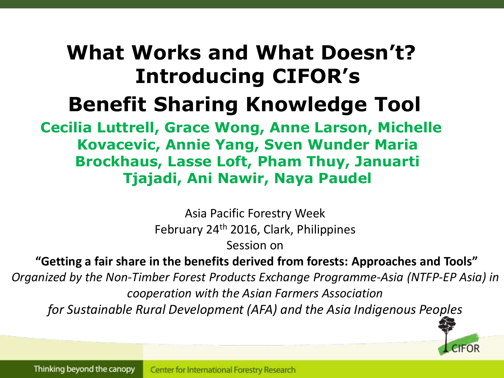## **What Works and What Doesn't? Introducing CIFOR's Benefit Sharing Knowledge Tool**

**Cecilia Luttrell, Grace Wong, Anne Larson, Michelle Kovacevic, Annie Yang, Sven Wunder Maria Brockhaus, Lasse Loft, Pham Thuy, Januarti Tjajadi, Ani Nawir, Naya Paudel** 

> Asia Pacific Forestry Week February 24th 2016, Clark, Philippines

Session on

**"Getting a fair share in the benefits derived from forests: Approaches and Tools"**

*Organized by the Non-Timber Forest Products Exchange Programme-Asia (NTFP-EP Asia) in cooperation with the Asian Farmers Association for Sustainable Rural Development (AFA) and the Asia Indigenous Peoples* 

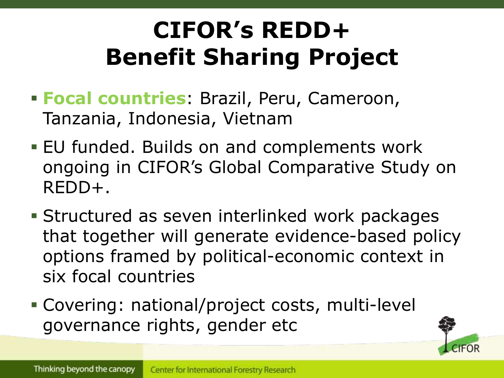## **CIFOR's REDD+ Benefit Sharing Project**

- **Focal countries**: Brazil, Peru, Cameroon, Tanzania, Indonesia, Vietnam
- EU funded. Builds on and complements work ongoing in CIFOR's Global Comparative Study on REDD+.
- Structured as seven interlinked work packages that together will generate evidence-based policy options framed by political-economic context in six focal countries
- Covering: national/project costs, multi-level governance rights, gender etc

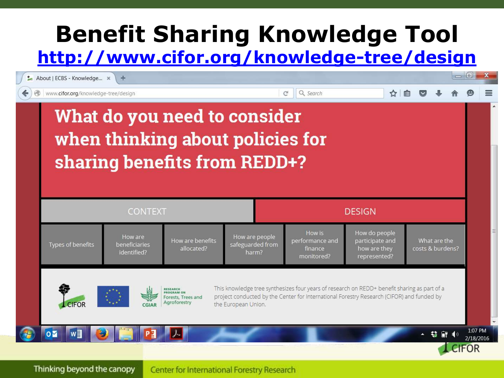## **Benefit Sharing Knowledge Tool <http://www.cifor.org/knowledge-tree/design>**

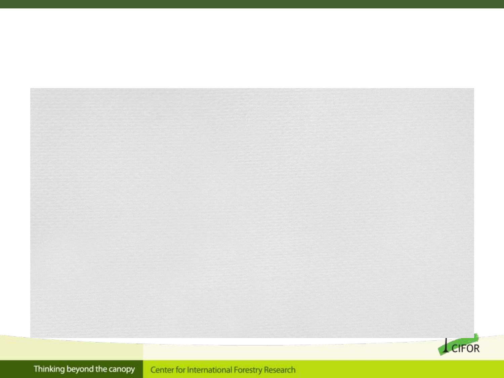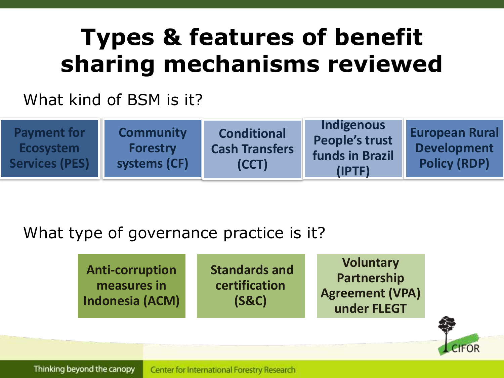## **Types & features of benefit sharing mechanisms reviewed**

### What kind of BSM is it?

Thinking beyond the canopy

| <b>Payment for</b><br><b>Ecosystem</b><br><b>Services (PES)</b> | <b>Community</b><br><b>Forestry</b><br>systems (CF) | <b>Conditional</b><br><b>Cash Transfers</b><br>(CCT) | Indigenous<br><b>People's trust</b><br><b>funds in Brazil</b><br>(IPTF) | <b>European Rural</b><br><b>Development</b><br><b>Policy (RDP)</b> |
|-----------------------------------------------------------------|-----------------------------------------------------|------------------------------------------------------|-------------------------------------------------------------------------|--------------------------------------------------------------------|
|-----------------------------------------------------------------|-----------------------------------------------------|------------------------------------------------------|-------------------------------------------------------------------------|--------------------------------------------------------------------|

What type of governance practice is it?



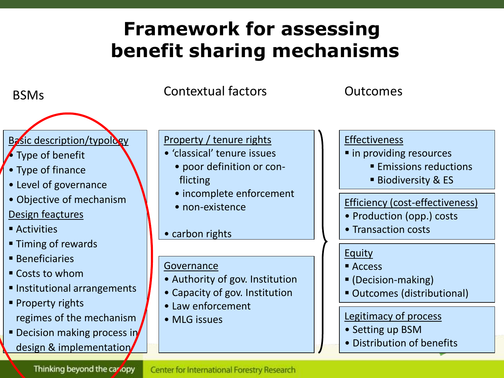### **Framework for assessing benefit sharing mechanisms**

### Basic description/typology

- Type of benefit
- Type of finance
- Level of governance
- Objective of mechanism
- Design feaçtures
- **Activities**
- **Timing of rewards**
- **Beneficiaries**
- Costs to whom
- **Institutional arrangements**
- **Property rights** regimes of the mechanism
- **Decision making process in** design & implementation

### BSMs **Contextual factors CONTER CONTEXT**

#### Property / tenure rights

- 'classical' tenure issues
	- poor definition or conflicting
	- incomplete enforcement
	- non-existence

#### • carbon rights

#### Governance

- Authority of gov. Institution
- Capacity of gov. Institution
- Law enforcement
- MLG issues

#### Effectiveness

- $\blacksquare$  in providing resources
	- **Emissions reductions**
	- **Biodiversity & ES**

#### Efficiency (cost-effectiveness)

- Production (opp.) costs
- Transaction costs

#### **Equity**

- Access
- (Decision-making)
- Outcomes (distributional)

#### Legitimacy of process

- Setting up BSM
- Distribution of benefits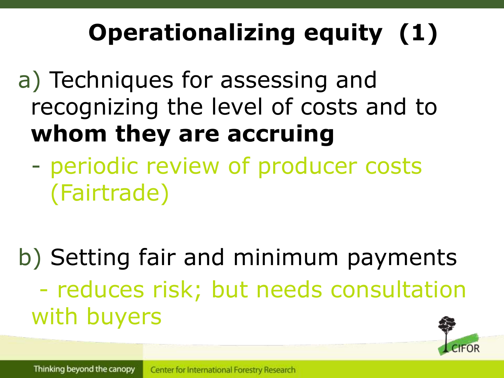## **Operationalizing equity (1)**

- a) Techniques for assessing and recognizing the level of costs and to **whom they are accruing** 
	- periodic review of producer costs (Fairtrade)

b) Setting fair and minimum payments - reduces risk; but needs consultation with buyers

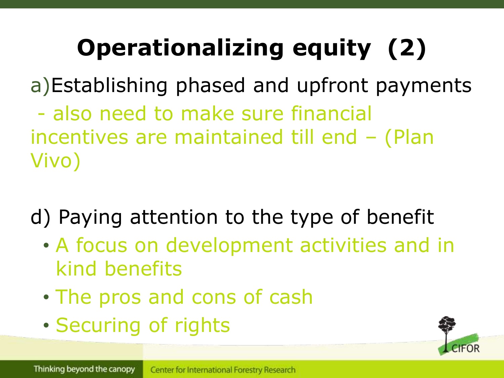## **Operationalizing equity (2)**

a)Establishing phased and upfront payments

- also need to make sure financial incentives are maintained till end – (Plan Vivo)

d) Paying attention to the type of benefit

- A focus on development activities and in kind benefits
- The pros and cons of cash
- Securing of rights

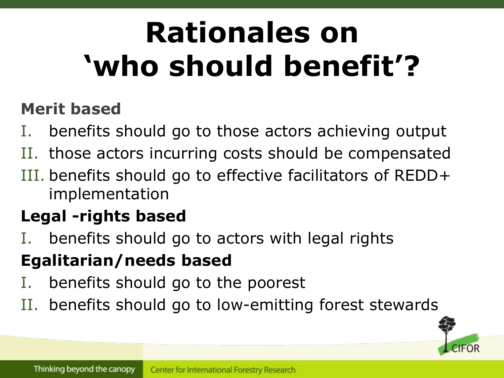# **Rationales on 'who should benefit'?**

### **Merit based**

- benefits should go to those actors achieving output
- II. those actors incurring costs should be compensated
- III. benefits should go to effective facilitators of REDD+ implementation

### **Legal -rights based**

I. benefits should go to actors with legal rights

### **Egalitarian/needs based**

- benefits should go to the poorest
- II. benefits should go to low-emitting forest stewards

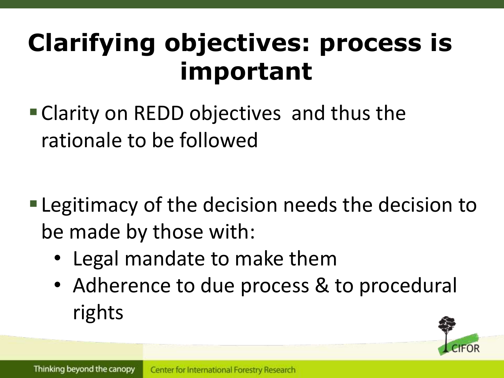## **Clarifying objectives: process is important**

**- Clarity on REDD objectives and thus the** rationale to be followed

- **Example 2** Legitimacy of the decision needs the decision to be made by those with:
	- Legal mandate to make them
	- Adherence to due process & to procedural rights

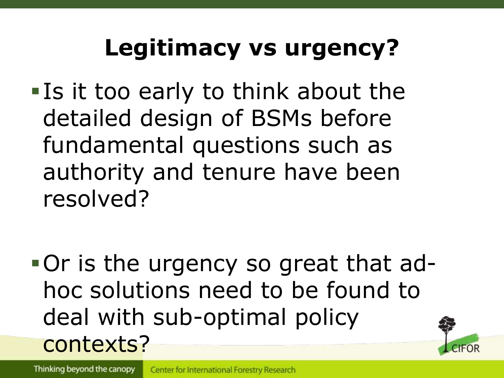## **Legitimacy vs urgency?**

Is it too early to think about the detailed design of BSMs before fundamental questions such as authority and tenure have been resolved?

Or is the urgency so great that adhoc solutions need to be found to deal with sub-optimal policy contexts?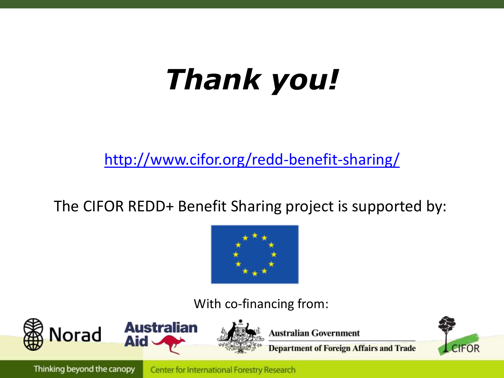# *Thank you!*

http[://www.cifor.org/redd-benefit-sharing/](http://www.cifor.org/redd-benefit-sharing/)

The CIFOR REDD+ Benefit Sharing project is supported by:



### With co-financing from:





**Australian Government** 

**Department of Foreign Affairs and Trade** 



Thinking beyond the canopy Center for International Forestry Research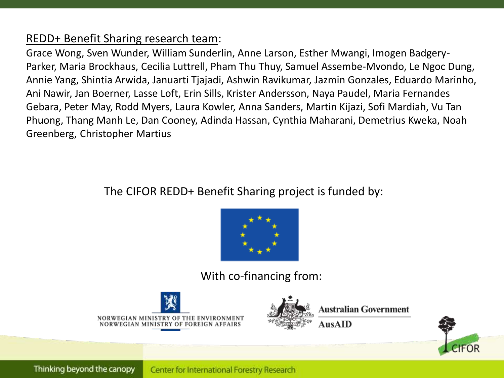### REDD+ Benefit Sharing research team:

Grace Wong, Sven Wunder, William Sunderlin, Anne Larson, Esther Mwangi, Imogen Badgery-Parker, Maria Brockhaus, Cecilia Luttrell, Pham Thu Thuy, Samuel Assembe-Mvondo, Le Ngoc Dung, Annie Yang, Shintia Arwida, Januarti Tjajadi, Ashwin Ravikumar, Jazmin Gonzales, Eduardo Marinho, Ani Nawir, Jan Boerner, Lasse Loft, Erin Sills, Krister Andersson, Naya Paudel, Maria Fernandes Gebara, Peter May, Rodd Myers, Laura Kowler, Anna Sanders, Martin Kijazi, Sofi Mardiah, Vu Tan Phuong, Thang Manh Le, Dan Cooney, Adinda Hassan, Cynthia Maharani, Demetrius Kweka, Noah Greenberg, Christopher Martius

### The CIFOR REDD+ Benefit Sharing project is funded by:



### With co-financing from:





Australian Government